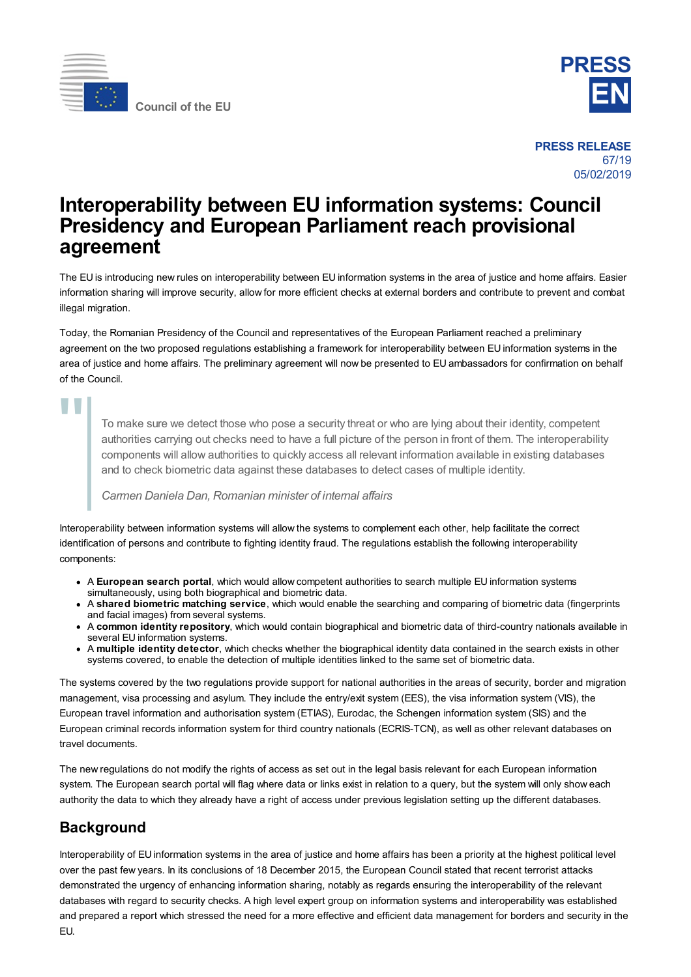



**PRESS RELEASE** 67/19 05/02/2019

## **Interoperability between EU information systems: Council Presidency and European Parliament reach provisional agreement**

The EU is introducing new rules on interoperability between EU information systems in the area of justice and home affairs. Easier information sharing will improve security, allow for more efficient checks at external borders and contribute to prevent and combat illegal migration.

Today, the Romanian Presidency of the Council and representatives of the European Parliament reached a preliminary agreement on the two proposed regulations establishing a framework for interoperability between EU information systems in the area of justice and home affairs. The preliminary agreement will now be presented to EU ambassadors for confirmation on behalf of the Council.

# "

To make sure we detect those who pose a security threat or who are lying about their identity, competent authorities carrying out checks need to have a full picture of the person in front of them. The interoperability components will allow authorities to quickly access all relevant information available in existing databases and to check biometric data against these databases to detect cases of multiple identity.

#### *Carmen Daniela Dan, Romanian minister of internal affairs*

Interoperability between information systems will allow the systems to complement each other, help facilitate the correct identification of persons and contribute to fighting identity fraud. The regulations establish the following interoperability components:

- A **European search portal**, which would allow competent authorities to search multiple EU information systems simultaneously, using both biographical and biometric data.
- A **shared biometric matching service**, which would enable the searching and comparing of biometric data (fingerprints and facial images) from several systems.
- A **common identity repository**, which would contain biographical and biometric data of third-country nationals available in several EU information systems.
- A **multiple identity detector**, which checks whether the biographical identity data contained in the search exists in other systems covered, to enable the detection of multiple identities linked to the same set of biometric data.

The systems covered by the two regulations provide support for national authorities in the areas of security, border and migration management, visa processing and asylum. They include the entry/exit system (EES), the visa information system (VIS), the European travel information and authorisation system (ETIAS), Eurodac, the Schengen information system (SIS) and the European criminal records information system for third country nationals (ECRIS-TCN), as well as other relevant databases on travel documents.

The new regulations do not modify the rights of access as set out in the legal basis relevant for each European information system. The European search portal will flag where data or links exist in relation to a query, but the system will only show each authority the data to which they already have a right of access under previous legislation setting up the different databases.

### **Background**

Interoperability of EU information systems in the area of justice and home affairs has been a priority at the highest political level over the past few years. In its conclusions of 18 December 2015, the European Council stated that recent terrorist attacks demonstrated the urgency of enhancing information sharing, notably as regards ensuring the interoperability of the relevant databases with regard to security checks. A high level expert group on information systems and interoperability was established and prepared a report which stressed the need for a more effective and efficient data management for borders and security in the EU.